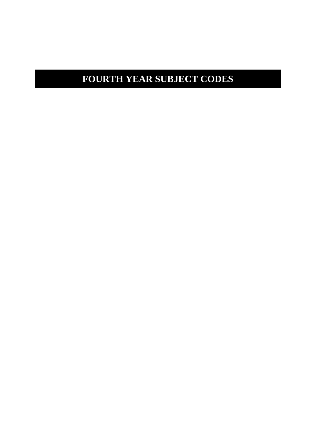# **FOURTH YEAR SUBJECT CODES**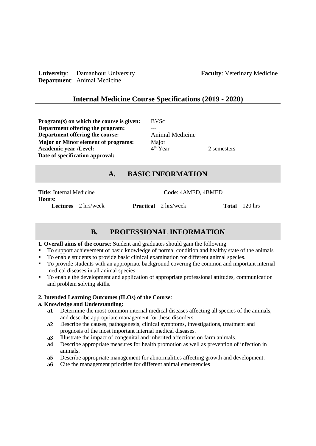**University**: Damanhour University **Faculty**: Veterinary Medicine **Department**: Animal Medicine

## **Internal Medicine Course Specifications (2019 - 2020)**

**Program(s) on which the course is given:** BVSc **Department offering the program: Department offering the course:** Animal Medicine<br> **Maior or Minor element of programs:** Maior **Major or Minor element of programs:** Major<br>**Academic vear /Level:** 4<sup>th</sup> Year **Academic year /Level:** 4 **Date of specification approval:**

## 2 semesters

# **A. BASIC INFORMATION**

**Hours:**<br>Lectures 2 hrs/week

Title: Internal Medicine<br>
Code: 4AMED, 4BMED

**Practical** 2 hrs/week **Total** 120 hrs

# **B. PROFESSIONAL INFORMATION**

#### **1. Overall aims of the course**: Student and graduates should gain the following

- To support achievement of basic knowledge of normal condition and healthy state of the animals
- To enable students to provide basic clinical examination for different animal species.
- To provide students with an appropriate background covering the common and important internal medical diseases in all animal species
- To enable the development and application of appropriate professional attitudes, communication and problem solving skills.

#### **2. Intended Learning Outcomes (ILOs) of the Course**:

#### **a. Knowledge and Understanding:**

- **a1** Determine the most common internal medical diseases affecting all species of the animals, and describe appropriate management for these disorders.
- **a2** Describe the causes, pathogenesis, clinical symptoms, investigations, treatment and prognosis of the most important internal medical diseases.
- **a3** Illustrate the impact of congenital and inherited affections on farm animals.
- **a4** Describe appropriate measures for health promotion as well as prevention of infection in animals.
- **a5** Describe appropriate management for abnormalities affecting growth and development.
- **a6** Cite the management priorities for different animal emergencies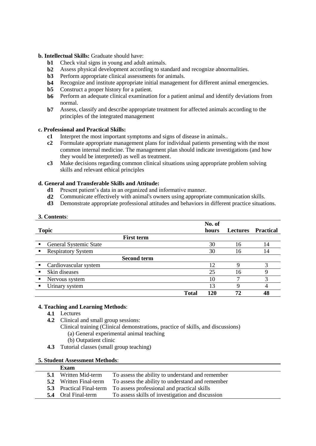#### **b. Intellectual Skills:** Graduate should have:

- **b1** Check vital signs in young and adult animals.
- **b2** Assess physical development according to standard and recognize abnormalities.
- **b3** Perform appropriate clinical assessments for animals.
- **b4** Recognize and institute appropriate initial management for different animal emergencies.
- **b5** Construct a proper history for a patient.<br>**b6** Perform an adequate clinical examination
- Perform an adequate clinical examination for a patient animal and identify deviations from normal.
- **b7** Assess, classify and describe appropriate treatment for affected animals according to the principles of the integrated management

#### **c. Professional and Practical Skills:**

- **c1** Interpret the most important symptoms and signs of disease in animals..
- **c2** Formulate appropriate management plans for individual patients presenting with the most common internal medicine. The management plan should indicate investigations (and how they would be interpreted) as well as treatment.
- **c3** Make decisions regarding common clinical situations using appropriate problem solving skills and relevant ethical principles

#### **d. General and Transferable Skills and Attitude:**

- **d1** Present patient's data in an organized and informative manner.
- **d2** Communicate effectively with animal's owners using appropriate communication skills.
- **d3** Demonstrate appropriate professional attitudes and behaviors in different practice situations.

| 3. Contents:                                |              |        |                 |                  |
|---------------------------------------------|--------------|--------|-----------------|------------------|
|                                             |              | No. of |                 |                  |
| <b>Topic</b>                                |              | hours  | <b>Lectures</b> | <b>Practical</b> |
| <b>First term</b>                           |              |        |                 |                  |
| General Systemic State<br>$\blacksquare$    |              | 30     | 16              | 14               |
| <b>Respiratory System</b><br>$\blacksquare$ |              | 30     | 16              | 14               |
| <b>Second term</b>                          |              |        |                 |                  |
| Cardiovascular system                       |              | 12     | 9               | 3                |
| Skin diseases<br>$\blacksquare$             |              | 25     | 16              | 9                |
| Nervous system<br>$\blacksquare$            |              | 10     | 7               | 3                |
| Urinary system                              |              | 13     | 9               | $\overline{4}$   |
|                                             | <b>Total</b> | 120    | 72              | 48               |

#### **4. Teaching and Learning Methods**:

- **4.1** Lectures
- **4.2** Clinical and small group sessions:
	- Clinical training (Clinical demonstrations, practice of skills, and discussions) (a) General experimental animal teaching
		- (b) Outpatient clinic
- **4.3** Tutorial classes (small group teaching)

|  |  | <b>5. Student Assessment Methods:</b> |  |
|--|--|---------------------------------------|--|
|--|--|---------------------------------------|--|

| Exam                          |                                                                             |
|-------------------------------|-----------------------------------------------------------------------------|
| <b>5.1</b> Written Mid-term   | To assess the ability to understand and remember                            |
| <b>5.2</b> Written Final-term | To assess the ability to understand and remember                            |
|                               | <b>5.3</b> Practical Final-term To assess professional and practical skills |
| <b>5.4</b> Oral Final-term    | To assess skills of investigation and discussion                            |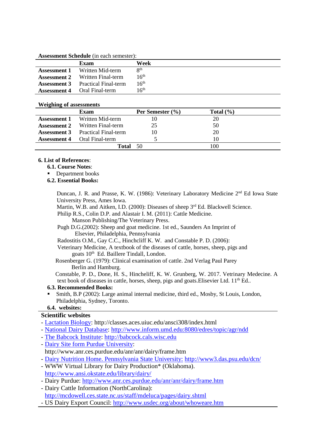**Assessment Schedule** (in each semester):

|                     | Exam                        | Week             |
|---------------------|-----------------------------|------------------|
| <b>Assessment 1</b> | Written Mid-term            | <b>Qth</b>       |
| <b>Assessment 2</b> | Written Final-term          | 16 <sup>th</sup> |
| <b>Assessment 3</b> | <b>Practical Final-term</b> | $16^{\rm th}$    |
| <b>Assessment 4</b> | Oral Final-term             | l $6^{\rm th}$   |

#### **Weighing of assessments**

|                     | Exam                                     | Per Semester $(\% )$ | Total $(\% )$ |  |
|---------------------|------------------------------------------|----------------------|---------------|--|
| <b>Assessment 1</b> | Written Mid-term                         | 10                   | 20            |  |
|                     | <b>Assessment 2</b> Written Final-term   | 25                   | 50            |  |
|                     | <b>Assessment 3</b> Practical Final-term | 10                   | 20            |  |
|                     | <b>Assessment 4</b> Oral Final-term      |                      | 10            |  |
|                     | Total                                    | 50                   | 100           |  |

#### **6. List of References**:

- **6.1. Course Notes**:
- Department books
- **6.2. Essential Books:**

Duncan, J. R. and Prasse, K. W. (1986): Veterinary Laboratory Medicine 2nd Ed Iowa State University Press, Ames Iowa.

Martin, W.B. and Aitken, I.D. (2000): Diseases of sheep 3<sup>rd</sup> Ed. Blackwell Science.

Philip R.S., Colin D.P. and Alastair I. M. (2011): Cattle Medicine.

Manson Publishing/The Veterinary Press.

Pugh D.G.(2002): Sheep and goat medicine. 1st ed., Saunders An Imprint of Elsevier, Philadelphia, Pennsylvania

Radostitis O.M., Gay C.C., Hinchcliff K. W. and Constable P. D. (2006):

Veterinary Medicine, A textbook of the diseases of cattle, horses, sheep, pigs and goats 10<sup>th</sup> Ed. Baillere Tindall, London.

 Rosenberger G. (1979): Clinical examination of cattle. 2nd Verlag Paul Parey Berlin and Hamburg.

 Constable, P. D., Done, H. S., Hincheliff, K. W. Grunberg, W. 2017. Vetrinary Medecine. A text book of diseases in cattle, horses, sheep, pigs and goats. Elisevier Ltd. 11<sup>th</sup> Ed..

#### **6.3. Recommended Books:**

 Smith, B.P (2002): Large animal internal medicine, third ed., Mosby, St Louis, London, Philadelphia, Sydney, Toronto.

## **6.4. websites:**

#### **Scientific websites**

- [Lactation Biology:](file:///D:/ادفينا/Lactation%20Biology) http://classes.aces.uiuc.edu/ansci308/index.html
- [National Dairy Database: http://www.inform.umd.edu:8080/edres/topic/agr/ndd](http://www.inform.umd.edu:8080/edres/topic/agr/ndd)
- [The Babcock Institute: http://babcock.cals.wisc.edu](http://babcock.cals.wisc.edu/)
- [Dairy Site form Purdue University:](http://www.anr.ces.purdue.edu/anr/anr/dairy/frame.htm)
- http://www.anr.ces.purdue.edu/anr/anr/dairy/frame.htm - [Dairy Nutrition Home. Pennsylvania State University:](http://www3.das.psu.edu/dcn/) <http://www3.das.psu.edu/dcn/>
- WWW Virtual Library for Dairy Production\* (Oklahoma). <http://www.ansi.okstate.edu/library/dairy/>
- Dairy Purdue:<http://www.anr.ces.purdue.edu/anr/anr/dairy/frame.htm>
- Dairy Cattle Information (NorthCarolina): <http://mcdowell.ces.state.nc.us/staff/mdeluca/pages/dairy.shtml>
- US Dairy Export Council:<http://www.usdec.org/about/whoweare.htm>